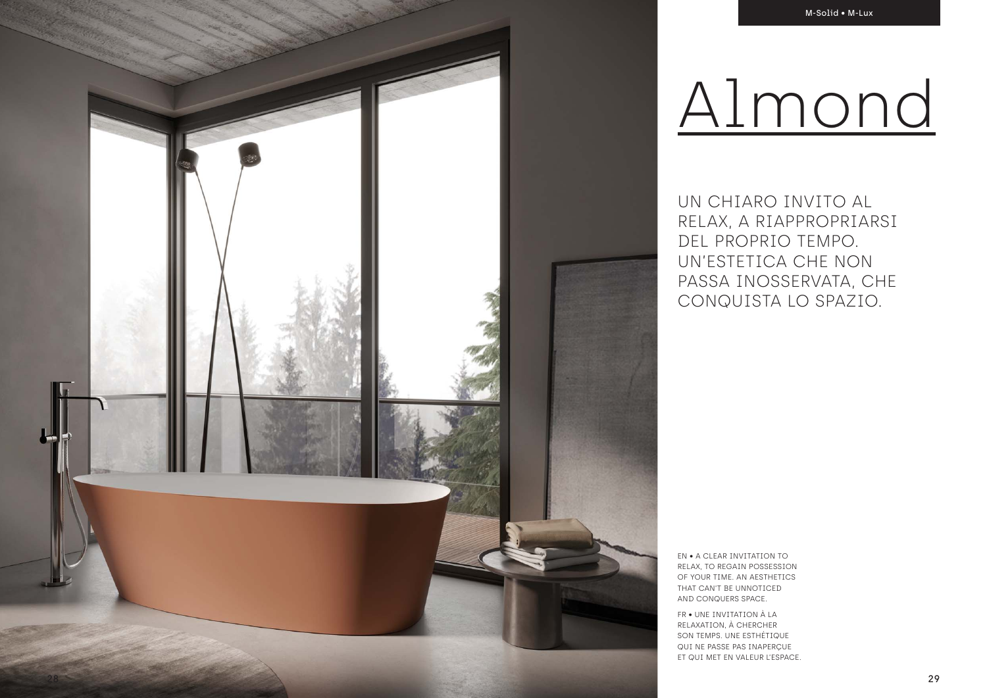UN CHIARO INVITO AL RELAX, A RIAPPROPRIARSI DEL PROPRIO TEMPO. UN'ESTETICA CHE NON PASSA INOSSERVATA, CHE CONQUISTA LO SPAZIO.

EN • A CLEAR INVITATION TO RELAX, TO REGAIN POSSESSION OF YOUR TIME. AN AESTHETICS THAT CAN'T BE UNNOTICED AND CONQUERS SPACE.

FR • UNE INVITATION À LA RELAXATION, À CHERCHER SON TEMPS. UNE ESTHÉTIQUE QUI NE PASSE PAS INAPERÇUE ET QUI MET EN VALEUR L'ESPACE.

# Almond